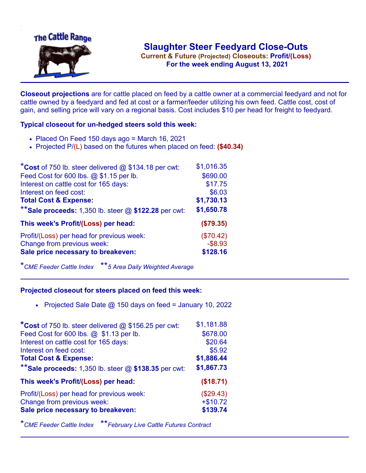

**Current & Future (Projected) Closeouts: Profit/(Loss)** .**For the week ending August 13, 2021**

**Closeout projections** are for cattle placed on feed by a cattle owner at a commercial feedyard and not for cattle owned by a feedyard and fed at cost or a farmer/feeder utilizing his own feed. Cattle cost, cost of gain, and selling price will vary on a regional basis. Cost includes \$10 per head for freight to feedyard.

## **Typical closeout for un-hedged steers sold this week:**

- $\bullet$  Placed On Feed 150 days ago = March 16, 2021
- Projected P/(L) based on the futures when placed on feed: **(\$40.34)**

| $*$ Cost of 750 lb. steer delivered @ \$134.18 per cwt: | \$1,016.35 |
|---------------------------------------------------------|------------|
| Feed Cost for 600 lbs. @ \$1.15 per lb.                 | \$690.00   |
| Interest on cattle cost for 165 days:                   | \$17.75    |
| Interest on feed cost:                                  | \$6.03     |
| <b>Total Cost &amp; Expense:</b>                        | \$1,730.13 |
| ** Sale proceeds: 1,350 lb. steer $@$ \$122.28 per cwt: | \$1,650.78 |
| This week's Profit/(Loss) per head:                     | (\$79.35)  |
| Profit/(Loss) per head for previous week:               | (\$70.42)  |
| Change from previous week:                              | $-$ \$8.93 |
| Sale price necessary to breakeven:                      | \$128.16   |

\**CME Feeder Cattle Index* \*\**5 Area Daily Weighted Average*

## **Projected closeout for steers placed on feed this week:**

• Projected Sale Date  $@$  150 days on feed = January 10, 2022

| \$1,181.88 |
|------------|
| \$678.00   |
| \$20.64    |
| \$5.92     |
| \$1,886.44 |
| \$1,867.73 |
| (\$18.71)  |
| (\$29.43)  |
| $+ $10.72$ |
| \$139.74   |
|            |

\**CME Feeder Cattle Index* \*\**February Live Cattle Futures Contract*